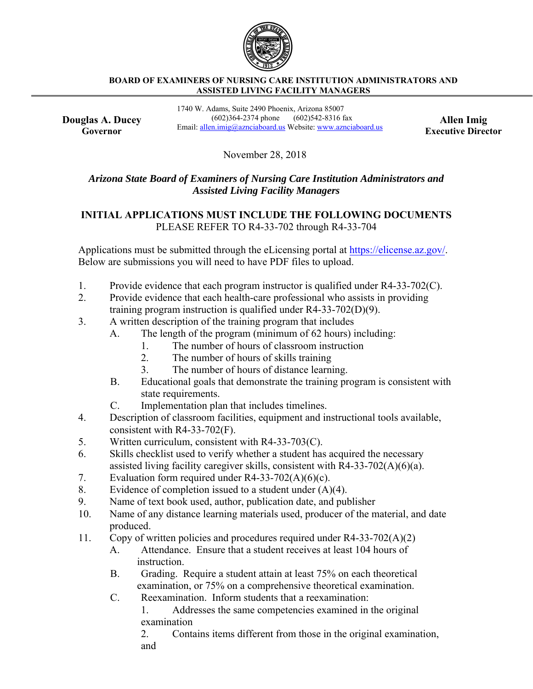

## **BOARD OF EXAMINERS OF NURSING CARE INSTITUTION ADMINISTRATORS AND ASSISTED LIVING FACILITY MANAGERS**

**Douglas A. Ducey Governor**

1740 W. Adams, Suite 2490 Phoenix, Arizona 85007 (602)364-2374 phone (602)542-8316 fax **Allen Imig Email: allen.imig@aznciaboard.us** Website: www.aznciaboard.us **Executive Director** 

November 28, 2018

## *Arizona State Board of Examiners of Nursing Care Institution Administrators and Assisted Living Facility Managers*

## **INITIAL APPLICATIONS MUST INCLUDE THE FOLLOWING DOCUMENTS** PLEASE REFER TO R4-33-702 through R4-33-704

Applications must be submitted through the eLicensing portal at https://elicense.az.gov/. Below are submissions you will need to have PDF files to upload.

- 1. Provide evidence that each program instructor is qualified under R4-33-702(C).
- 2. Provide evidence that each health-care professional who assists in providing training program instruction is qualified under R4-33-702(D)(9).
- 3. A written description of the training program that includes
	- A. The length of the program (minimum of 62 hours) including:
		- 1. The number of hours of classroom instruction
		- 2. The number of hours of skills training
		- 3. The number of hours of distance learning.
	- B. Educational goals that demonstrate the training program is consistent with state requirements.
	- C. Implementation plan that includes timelines.
- 4. Description of classroom facilities, equipment and instructional tools available, consistent with R4-33-702(F).
- 5. Written curriculum, consistent with R4-33-703(C).
- 6. Skills checklist used to verify whether a student has acquired the necessary assisted living facility caregiver skills, consistent with R4-33-702(A)(6)(a).
- 7. Evaluation form required under  $R4-33-702(A)(6)(c)$ .
- 8. Evidence of completion issued to a student under  $(A)(4)$ .
- 9. Name of text book used, author, publication date, and publisher
- 10. Name of any distance learning materials used, producer of the material, and date produced.
- 11. Copy of written policies and procedures required under R4-33-702(A)(2)
	- A. Attendance. Ensure that a student receives at least 104 hours of instruction.
	- B. Grading. Require a student attain at least 75% on each theoretical examination, or 75% on a comprehensive theoretical examination.
	- C. Reexamination. Inform students that a reexamination:

1. Addresses the same competencies examined in the original examination

2. Contains items different from those in the original examination, and